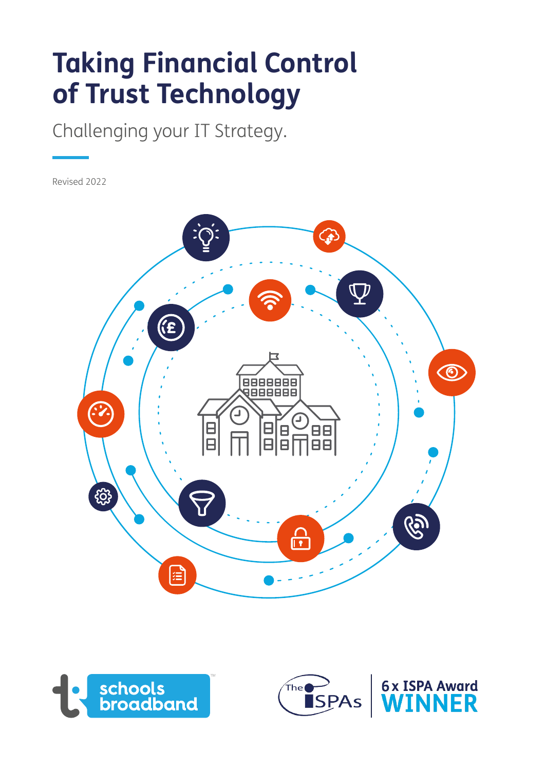# **Taking Financial Control of Trust Technology**

Challenging your IT Strategy.

Revised 2022







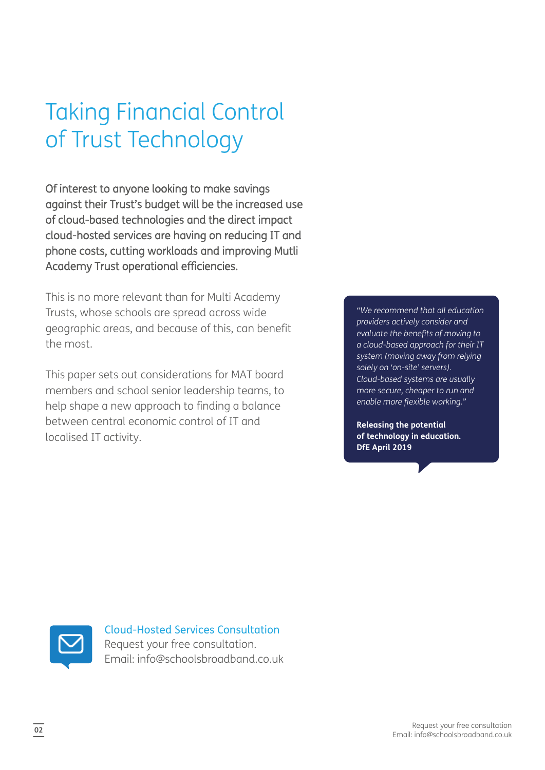## Taking Financial Control of Trust Technology

Of interest to anyone looking to make savings against their Trust's budget will be the increased use of cloud-based technologies and the direct impact cloud-hosted services are having on reducing IT and phone costs, cutting workloads and improving Mutli Academy Trust operational efficiencies.

This is no more relevant than for Multi Academy Trusts, whose schools are spread across wide geographic areas, and because of this, can benefit the most.

This paper sets out considerations for MAT board members and school senior leadership teams, to help shape a new approach to finding a balance between central economic control of IT and localised IT activity.

*"We recommend that all education providers actively consider and evaluate the benefits of moving to a cloud-based approach for their IT system (moving away from relying solely on 'on-site' servers). Cloud-based systems are usually more secure, cheaper to run and enable more flexible working."*

**Releasing the potential of technology in education. DfE April 2019**



Cloud-Hosted Services Consultation Request your free consultation. Email: info@schoolsbroadband.co.uk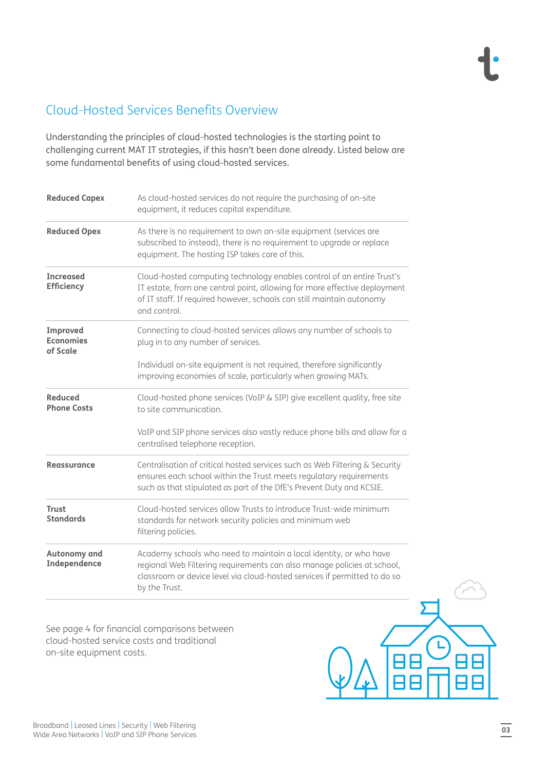#### Cloud-Hosted Services Benefits Overview

Understanding the principles of cloud-hosted technologies is the starting point to challenging current MAT IT strategies, if this hasn't been done already. Listed below are some fundamental benefits of using cloud-hosted services.

| <b>Reduced Capex</b>                     | As cloud-hosted services do not require the purchasing of on-site<br>equipment, it reduces capital expenditure.                                                                                                                              |
|------------------------------------------|----------------------------------------------------------------------------------------------------------------------------------------------------------------------------------------------------------------------------------------------|
| <b>Reduced Opex</b>                      | As there is no requirement to own on-site equipment (services are<br>subscribed to instead), there is no requirement to upgrade or replace<br>equipment. The hosting ISP takes care of this.                                                 |
| <b>Increased</b><br><b>Efficiency</b>    | Cloud-hosted computing technology enables control of an entire Trust's<br>IT estate, from one central point, allowing for more effective deployment<br>of IT staff. If required however, schools can still maintain autonomy<br>and control. |
| Improved<br><b>Economies</b><br>of Scale | Connecting to cloud-hosted services allows any number of schools to<br>plug in to any number of services.                                                                                                                                    |
|                                          | Individual on-site equipment is not required, therefore significantly<br>improving economies of scale, particularly when growing MATs.                                                                                                       |
| <b>Reduced</b><br><b>Phone Costs</b>     | Cloud-hosted phone services (VoIP & SIP) give excellent quality, free site<br>to site communication.                                                                                                                                         |
|                                          | VoIP and SIP phone services also vastly reduce phone bills and allow for a<br>centralised telephone reception.                                                                                                                               |
| Reassurance                              | Centralisation of critical hosted services such as Web Filtering & Security<br>ensures each school within the Trust meets regulatory requirements<br>such as that stipulated as part of the DfE's Prevent Duty and KCSIE.                    |
| <b>Trust</b><br><b>Standards</b>         | Cloud-hosted services allow Trusts to introduce Trust-wide minimum<br>standards for network security policies and minimum web<br>filtering policies.                                                                                         |
| Autonomy and<br>Independence             | Academy schools who need to maintain a local identity, or who have<br>regional Web Filtering requirements can also manage policies at school,<br>classroom or device level via cloud-hosted services if permitted to do so<br>by the Trust.  |

See page 4 for financial comparisons between cloud-hosted service costs and traditional on-site equipment costs.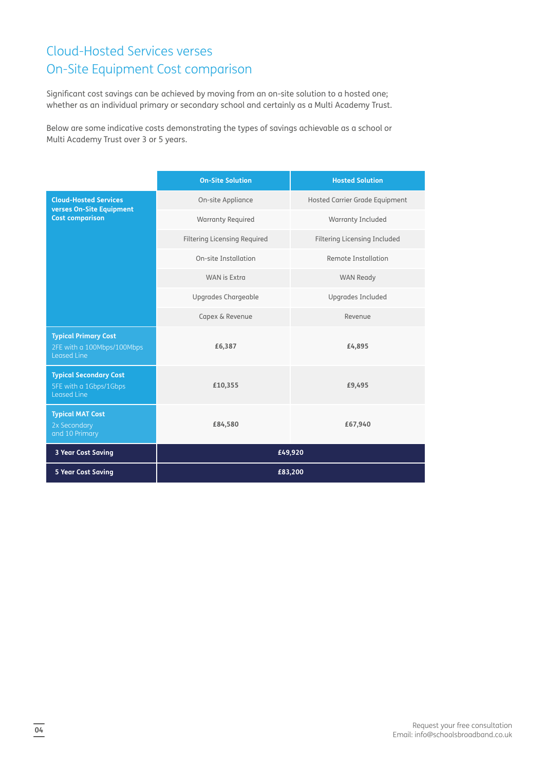#### Cloud-Hosted Services verses On-Site Equipment Cost comparison

Significant cost savings can be achieved by moving from an on-site solution to a hosted one; whether as an individual primary or secondary school and certainly as a Multi Academy Trust.

Below are some indicative costs demonstrating the types of savings achievable as a school or Multi Academy Trust over 3 or 5 years.

|                                                                                 | <b>On-Site Solution</b>             | <b>Hosted Solution</b>         |
|---------------------------------------------------------------------------------|-------------------------------------|--------------------------------|
| <b>Cloud-Hosted Services</b><br>verses On-Site Equipment                        | On-site Appliance                   | Hosted Carrier Grade Equipment |
| <b>Cost comparison</b>                                                          | <b>Warranty Required</b>            | Warranty Included              |
|                                                                                 | <b>Filtering Licensing Required</b> | Filtering Licensing Included   |
|                                                                                 | On-site Installation                | Remote Installation            |
|                                                                                 | <b>WAN</b> is Extra                 | <b>WAN Ready</b>               |
|                                                                                 | Upgrades Chargeable                 | <b>Upgrades Included</b>       |
|                                                                                 | Capex & Revenue                     | Revenue                        |
| <b>Typical Primary Cost</b><br>2FE with a 100Mbps/100Mbps<br><b>Leased Line</b> | £6,387                              | £4,895                         |
| <b>Typical Secondary Cost</b><br>5FE with a 1Gbps/1Gbps<br>Leased Line          | £10,355                             | £9,495                         |
| <b>Typical MAT Cost</b><br>2x Secondary<br>and 10 Primary                       | £84,580                             | £67,940                        |
| 3 Year Cost Saving                                                              | £49,920                             |                                |
| <b>5 Year Cost Saving</b>                                                       | £83,200                             |                                |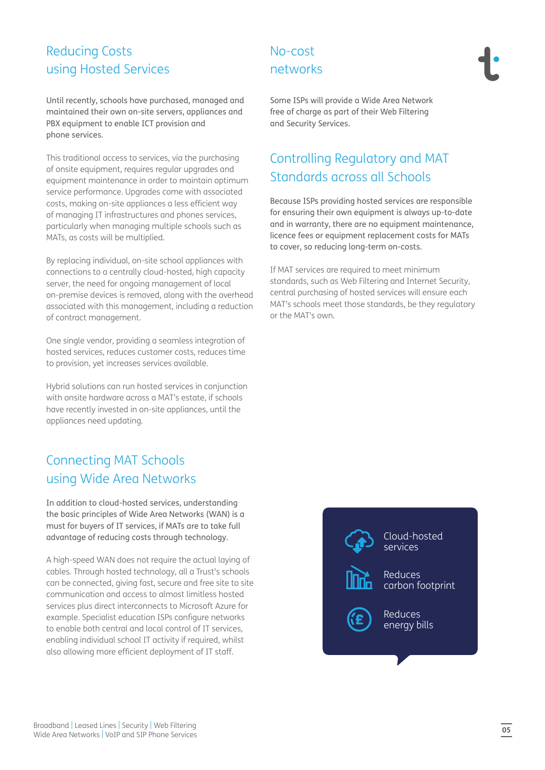#### Reducing Costs using Hosted Services

Until recently, schools have purchased, managed and maintained their own on-site servers, appliances and PBX equipment to enable ICT provision and phone services.

This traditional access to services, via the purchasing of onsite equipment, requires regular upgrades and equipment maintenance in order to maintain optimum service performance. Upgrades come with associated costs, making on-site appliances a less efficient way of managing IT infrastructures and phones services, particularly when managing multiple schools such as MATs, as costs will be multiplied.

By replacing individual, on-site school appliances with connections to a centrally cloud-hosted, high capacity server, the need for ongoing management of local on-premise devices is removed, along with the overhead associated with this management, including a reduction of contract management.

One single vendor, providing a seamless integration of hosted services, reduces customer costs, reduces time to provision, yet increases services available.

Hybrid solutions can run hosted services in conjunction with onsite hardware across a MAT's estate, if schools have recently invested in on-site appliances, until the appliances need updating.

#### Connecting MAT Schools using Wide Area Networks

In addition to cloud-hosted services, understanding the basic principles of Wide Area Networks (WAN) is a must for buyers of IT services, if MATs are to take full advantage of reducing costs through technology.

A high-speed WAN does not require the actual laying of cables. Through hosted technology, all a Trust's schools can be connected, giving fast, secure and free site to site communication and access to almost limitless hosted services plus direct interconnects to Microsoft Azure for example. Specialist education ISPs configure networks to enable both central and local control of IT services, enabling individual school IT activity if required, whilst also allowing more efficient deployment of IT staff.

#### No-cost networks

Some ISPs will provide a Wide Area Network free of charge as part of their Web Filtering and Security Services.

#### Controlling Regulatory and MAT Standards across all Schools

Because ISPs providing hosted services are responsible for ensuring their own equipment is always up-to-date and in warranty, there are no equipment maintenance, licence fees or equipment replacement costs for MATs to cover, so reducing long-term on-costs.

If MAT services are required to meet minimum standards, such as Web Filtering and Internet Security, central purchasing of hosted services will ensure each MAT's schools meet those standards, be they regulatory or the MAT's own.

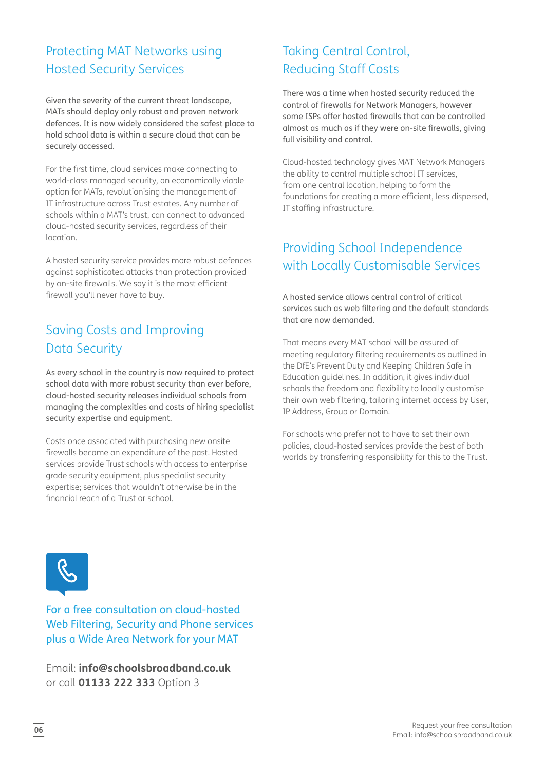#### Protecting MAT Networks using Hosted Security Services

Given the severity of the current threat landscape, MATs should deploy only robust and proven network defences. It is now widely considered the safest place to hold school data is within a secure cloud that can be securely accessed.

For the first time, cloud services make connecting to world-class managed security, an economically viable option for MATs, revolutionising the management of IT infrastructure across Trust estates. Any number of schools within a MAT's trust, can connect to advanced cloud-hosted security services, regardless of their location.

A hosted security service provides more robust defences against sophisticated attacks than protection provided by on-site firewalls. We say it is the most efficient firewall you'll never have to buy.

#### Saving Costs and Improving Data Security

As every school in the country is now required to protect school data with more robust security than ever before, cloud-hosted security releases individual schools from managing the complexities and costs of hiring specialist security expertise and equipment.

Costs once associated with purchasing new onsite firewalls become an expenditure of the past. Hosted services provide Trust schools with access to enterprise grade security equipment, plus specialist security expertise; services that wouldn't otherwise be in the financial reach of a Trust or school.

#### Taking Central Control, Reducing Staff Costs

There was a time when hosted security reduced the control of firewalls for Network Managers, however some ISPs offer hosted firewalls that can be controlled almost as much as if they were on-site firewalls, giving full visibility and control.

Cloud-hosted technology gives MAT Network Managers the ability to control multiple school IT services, from one central location, helping to form the foundations for creating a more efficient, less dispersed, IT staffing infrastructure.

#### Providing School Independence with Locally Customisable Services

A hosted service allows central control of critical services such as web filtering and the default standards that are now demanded.

That means every MAT school will be assured of meeting regulatory filtering requirements as outlined in the DfE's Prevent Duty and Keeping Children Safe in Education guidelines. In addition, it gives individual schools the freedom and flexibility to locally customise their own web filtering, tailoring internet access by User, IP Address, Group or Domain.

For schools who prefer not to have to set their own policies, cloud-hosted services provide the best of both worlds by transferring responsibility for this to the Trust.



For a free consultation on cloud-hosted Web Filtering, Security and Phone services plus a Wide Area Network for your MAT

Email: **info@schoolsbroadband.co.uk** or call **01133 222 333** Option 3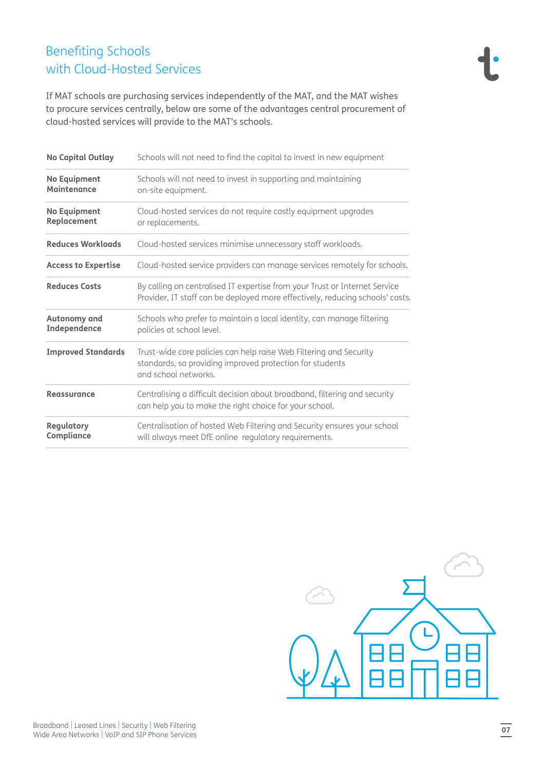### Benefiting Schools with Cloud-Hosted Services

If MAT schools are purchasing services independently of the MAT, and the MAT wishes to procure services centrally, below are some of the advantages central procurement of cloud-hosted services will provide to the MAT's schools.

| <b>No Capital Outlay</b>                  | Schools will not need to find the capital to invest in new equipment                                                                                        |
|-------------------------------------------|-------------------------------------------------------------------------------------------------------------------------------------------------------------|
| <b>No Equipment</b><br><b>Maintenance</b> | Schools will not need to invest in supporting and maintaining<br>on-site equipment.                                                                         |
| <b>No Equipment</b><br>Replacement        | Cloud-hosted services do not require costly equipment upgrades<br>or replacements.                                                                          |
| <b>Reduces Workloads</b>                  | Cloud-hosted services minimise unnecessary staff workloads.                                                                                                 |
| <b>Access to Expertise</b>                | Cloud-hosted service providers can manage services remotely for schools.                                                                                    |
| <b>Reduces Costs</b>                      | By calling on centralised IT expertise from your Trust or Internet Service<br>Provider, IT staff can be deployed more effectively, reducing schools' costs. |
| Autonomy and<br>Independence              | Schools who prefer to maintain a local identity, can manage filtering<br>policies at school level.                                                          |
| <b>Improved Standards</b>                 | Trust-wide core policies can help raise Web Filtering and Security<br>standards, so providing improved protection for students<br>and school networks.      |
| Reassurance                               | Centralising a difficult decision about broadband, filtering and security<br>can help you to make the right choice for your school.                         |
| Regulatory<br>Compliance                  | Centralisation of hosted Web Filtering and Security ensures your school<br>will always meet DfE online regulatory requirements.                             |